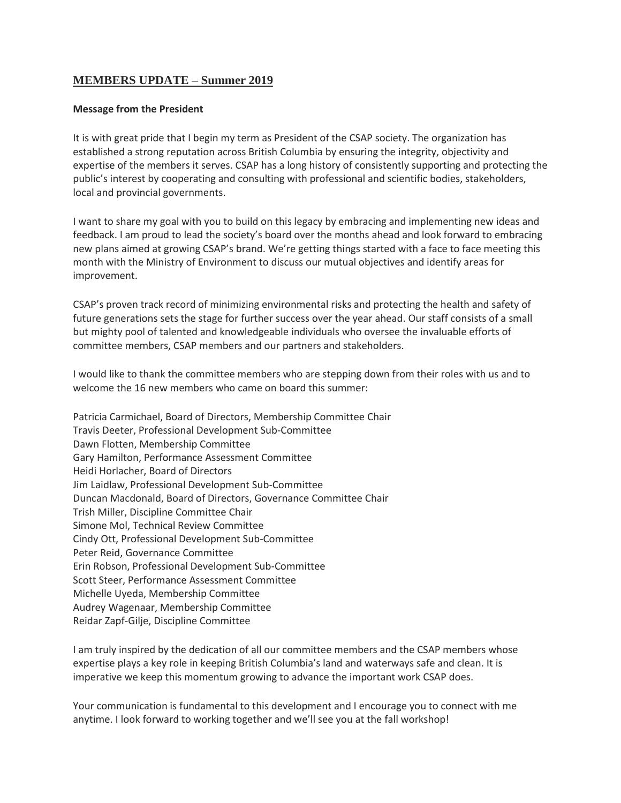# **MEMBERS UPDATE – Summer 2019**

### **Message from the President**

It is with great pride that I begin my term as President of the CSAP society. The organization has established a strong reputation across British Columbia by ensuring the integrity, objectivity and expertise of the members it serves. CSAP has a long history of consistently supporting and protecting the public's interest by cooperating and consulting with professional and scientific bodies, stakeholders, local and provincial governments.

I want to share my goal with you to build on this legacy by embracing and implementing new ideas and feedback. I am proud to lead the society's board over the months ahead and look forward to embracing new plans aimed at growing CSAP's brand. We're getting things started with a face to face meeting this month with the Ministry of Environment to discuss our mutual objectives and identify areas for improvement.

CSAP's proven track record of minimizing environmental risks and protecting the health and safety of future generations sets the stage for further success over the year ahead. Our staff consists of a small but mighty pool of talented and knowledgeable individuals who oversee the invaluable efforts of committee members, CSAP members and our partners and stakeholders.

I would like to thank the committee members who are stepping down from their roles with us and to welcome the 16 new members who came on board this summer:

Patricia Carmichael, Board of Directors, Membership Committee Chair Travis Deeter, Professional Development Sub-Committee Dawn Flotten, Membership Committee Gary Hamilton, Performance Assessment Committee Heidi Horlacher, Board of Directors Jim Laidlaw, Professional Development Sub-Committee Duncan Macdonald, Board of Directors, Governance Committee Chair Trish Miller, Discipline Committee Chair Simone Mol, Technical Review Committee Cindy Ott, Professional Development Sub-Committee Peter Reid, Governance Committee Erin Robson, Professional Development Sub-Committee Scott Steer, Performance Assessment Committee Michelle Uyeda, Membership Committee Audrey Wagenaar, Membership Committee Reidar Zapf-Gilje, Discipline Committee

I am truly inspired by the dedication of all our committee members and the CSAP members whose expertise plays a key role in keeping British Columbia's land and waterways safe and clean. It is imperative we keep this momentum growing to advance the important work CSAP does.

Your communication is fundamental to this development and I encourage you to connect with me anytime. I look forward to working together and we'll see you at the fall workshop!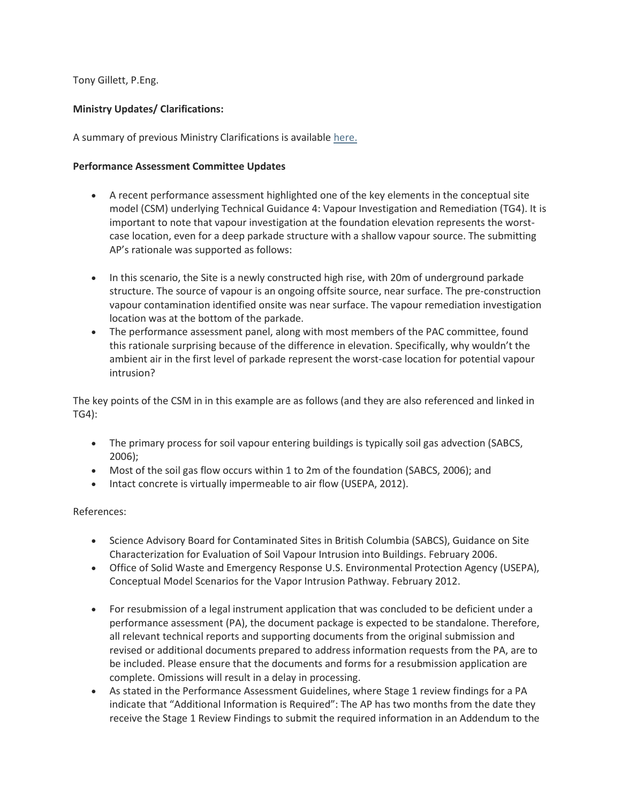Tony Gillett, P.Eng.

## **Ministry Updates/ Clarifications:**

A summary of previous Ministry Clarifications is available [here.](https://csapsociety.bc.ca/wp-content/uploads/Ministry-Updates-Spring-2018-to-Summer-2012.pdf)

## **Performance Assessment Committee Updates**

- A recent performance assessment highlighted one of the key elements in the conceptual site model (CSM) underlying Technical Guidance 4: Vapour Investigation and Remediation (TG4). It is important to note that vapour investigation at the foundation elevation represents the worstcase location, even for a deep parkade structure with a shallow vapour source. The submitting AP's rationale was supported as follows:
- In this scenario, the Site is a newly constructed high rise, with 20m of underground parkade structure. The source of vapour is an ongoing offsite source, near surface. The pre-construction vapour contamination identified onsite was near surface. The vapour remediation investigation location was at the bottom of the parkade.
- The performance assessment panel, along with most members of the PAC committee, found this rationale surprising because of the difference in elevation. Specifically, why wouldn't the ambient air in the first level of parkade represent the worst-case location for potential vapour intrusion?

The key points of the CSM in in this example are as follows (and they are also referenced and linked in TG4):

- The primary process for soil vapour entering buildings is typically soil gas advection (SABCS, 2006);
- Most of the soil gas flow occurs within 1 to 2m of the foundation (SABCS, 2006); and
- Intact concrete is virtually impermeable to air flow (USEPA, 2012).

References:

- Science Advisory Board for Contaminated Sites in British Columbia (SABCS), Guidance on Site Characterization for Evaluation of Soil Vapour Intrusion into Buildings. February 2006.
- Office of Solid Waste and Emergency Response U.S. Environmental Protection Agency (USEPA), Conceptual Model Scenarios for the Vapor Intrusion Pathway. February 2012.
- For resubmission of a legal instrument application that was concluded to be deficient under a performance assessment (PA), the document package is expected to be standalone. Therefore, all relevant technical reports and supporting documents from the original submission and revised or additional documents prepared to address information requests from the PA, are to be included. Please ensure that the documents and forms for a resubmission application are complete. Omissions will result in a delay in processing.
- As stated in the Performance Assessment Guidelines, where Stage 1 review findings for a PA indicate that "Additional Information is Required": The AP has two months from the date they receive the Stage 1 Review Findings to submit the required information in an Addendum to the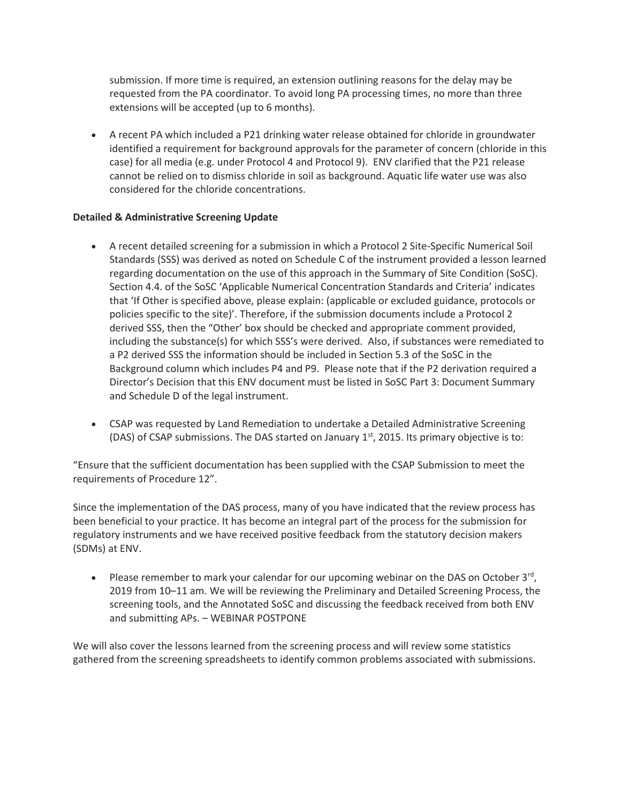submission. If more time is required, an extension outlining reasons for the delay may be requested from the PA coordinator. To avoid long PA processing times, no more than three extensions will be accepted (up to 6 months).

• A recent PA which included a P21 drinking water release obtained for chloride in groundwater identified a requirement for background approvals for the parameter of concern (chloride in this case) for all media (e.g. under Protocol 4 and Protocol 9). ENV clarified that the P21 release cannot be relied on to dismiss chloride in soil as background. Aquatic life water use was also considered for the chloride concentrations.

## **Detailed & Administrative Screening Update**

- A recent detailed screening for a submission in which a Protocol 2 Site-Specific Numerical Soil Standards (SSS) was derived as noted on Schedule C of the instrument provided a lesson learned regarding documentation on the use of this approach in the Summary of Site Condition (SoSC). Section 4.4. of the SoSC 'Applicable Numerical Concentration Standards and Criteria' indicates that 'If Other is specified above, please explain: (applicable or excluded guidance, protocols or policies specific to the site)'. Therefore, if the submission documents include a Protocol 2 derived SSS, then the "Other' box should be checked and appropriate comment provided, including the substance(s) for which SSS's were derived. Also, if substances were remediated to a P2 derived SSS the information should be included in Section 5.3 of the SoSC in the Background column which includes P4 and P9. Please note that if the P2 derivation required a Director's Decision that this ENV document must be listed in SoSC Part 3: Document Summary and Schedule D of the legal instrument.
- CSAP was requested by Land Remediation to undertake a Detailed Administrative Screening (DAS) of CSAP submissions. The DAS started on January  $1<sup>st</sup>$ , 2015. Its primary objective is to:

"Ensure that the sufficient documentation has been supplied with the CSAP Submission to meet the requirements of Procedure 12".

Since the implementation of the DAS process, many of you have indicated that the review process has been beneficial to your practice. It has become an integral part of the process for the submission for regulatory instruments and we have received positive feedback from the statutory decision makers (SDMs) at ENV.

• Please remember to mark your calendar for our upcoming webinar on the DAS on October  $3^{rd}$ , 2019 from 10–11 am. We will be reviewing the Preliminary and Detailed Screening Process, the screening tools, and the Annotated SoSC and discussing the feedback received from both ENV and submitting APs. – WEBINAR POSTPONE

We will also cover the lessons learned from the screening process and will review some statistics gathered from the screening spreadsheets to identify common problems associated with submissions.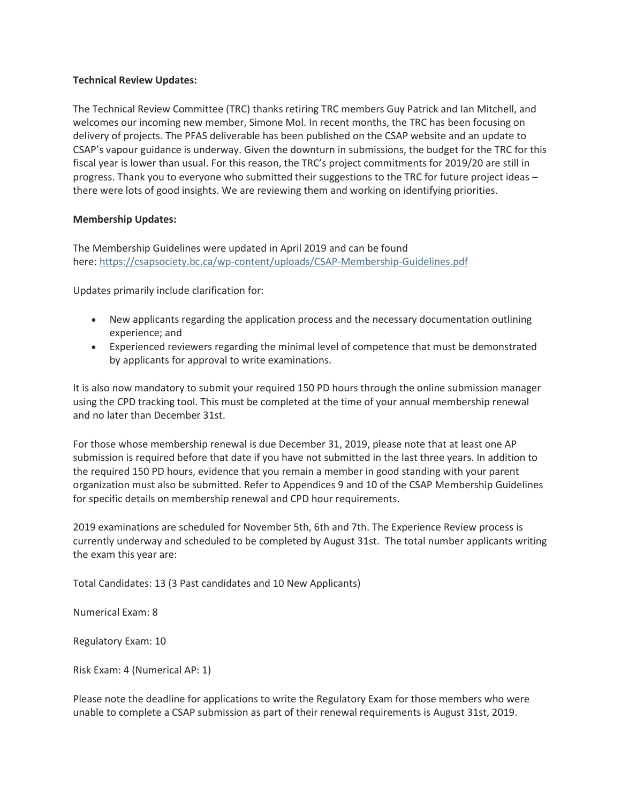## **Technical Review Updates:**

The Technical Review Committee (TRC) thanks retiring TRC members Guy Patrick and Ian Mitchell, and welcomes our incoming new member, Simone Mol. In recent months, the TRC has been focusing on delivery of projects. The PFAS deliverable has been published on the CSAP website and an update to CSAP's vapour guidance is underway. Given the downturn in submissions, the budget for the TRC for this fiscal year is lower than usual. For this reason, the TRC's project commitments for 2019/20 are still in progress. Thank you to everyone who submitted their suggestions to the TRC for future project ideas – there were lots of good insights. We are reviewing them and working on identifying priorities.

#### **Membership Updates:**

The Membership Guidelines were updated in April 2019 and can be found here: <https://csapsociety.bc.ca/wp-content/uploads/CSAP-Membership-Guidelines.pdf>

Updates primarily include clarification for:

- New applicants regarding the application process and the necessary documentation outlining experience; and
- Experienced reviewers regarding the minimal level of competence that must be demonstrated by applicants for approval to write examinations.

It is also now mandatory to submit your required 150 PD hours through the online submission manager using the CPD tracking tool. This must be completed at the time of your annual membership renewal and no later than December 31st.

For those whose membership renewal is due December 31, 2019, please note that at least one AP submission is required before that date if you have not submitted in the last three years. In addition to the required 150 PD hours, evidence that you remain a member in good standing with your parent organization must also be submitted. Refer to Appendices 9 and 10 of the CSAP Membership Guidelines for specific details on membership renewal and CPD hour requirements.

2019 examinations are scheduled for November 5th, 6th and 7th. The Experience Review process is currently underway and scheduled to be completed by August 31st. The total number applicants writing the exam this year are:

Total Candidates: 13 (3 Past candidates and 10 New Applicants)

Numerical Exam: 8

Regulatory Exam: 10

Risk Exam: 4 (Numerical AP: 1)

Please note the deadline for applications to write the Regulatory Exam for those members who were unable to complete a CSAP submission as part of their renewal requirements is August 31st, 2019.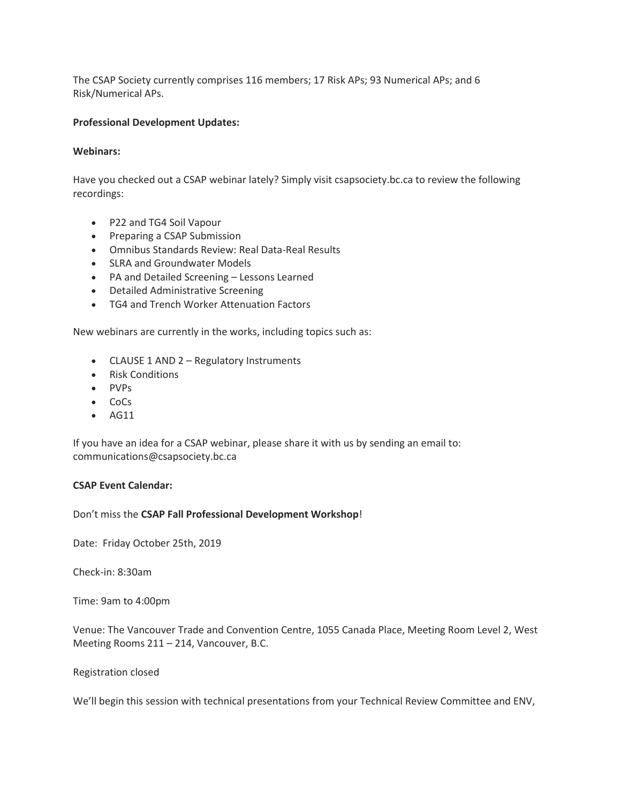The CSAP Society currently comprises 116 members; 17 Risk APs; 93 Numerical APs; and 6 Risk/Numerical APs.

## **Professional Development Updates:**

#### **Webinars:**

Have you checked out a CSAP webinar lately? Simply visit csapsociety.bc.ca to review the following recordings:

- P22 and TG4 Soil Vapour
- Preparing a CSAP Submission
- Omnibus Standards Review: Real Data-Real Results
- SLRA and Groundwater Models
- PA and Detailed Screening Lessons Learned
- Detailed Administrative Screening
- TG4 and Trench Worker Attenuation Factors

New webinars are currently in the works, including topics such as:

- CLAUSE 1 AND 2 Regulatory Instruments
- Risk Conditions
- PVPs
- CoCs
- AG11

If you have an idea for a CSAP webinar, please share it with us by sending an email to: communications@csapsociety.bc.ca

#### **CSAP Event Calendar:**

Don't miss the **CSAP Fall Professional Development Workshop**!

Date: Friday October 25th, 2019

Check-in: 8:30am

Time: 9am to 4:00pm

Venue: The Vancouver Trade and Convention Centre, 1055 Canada Place, Meeting Room Level 2, West Meeting Rooms 211 – 214, Vancouver, B.C.

#### Registration closed

We'll begin this session with technical presentations from your Technical Review Committee and ENV,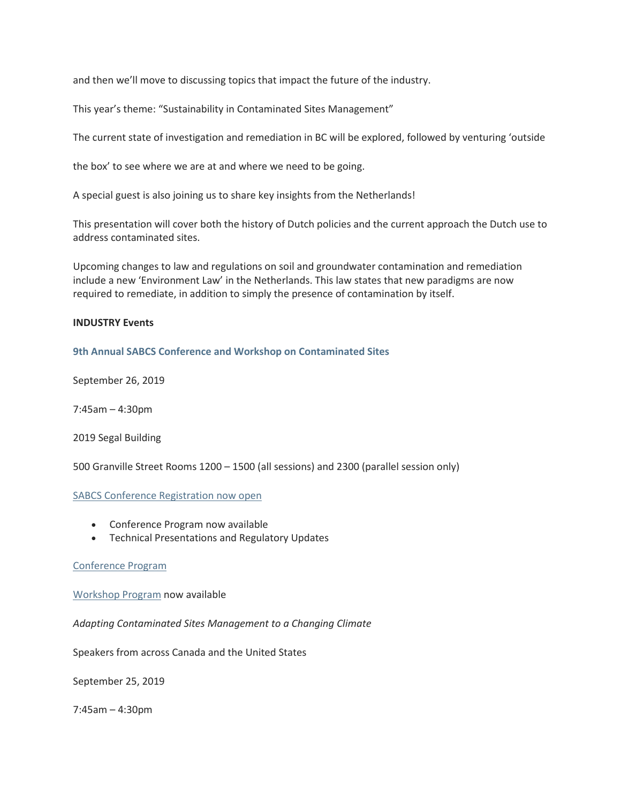and then we'll move to discussing topics that impact the future of the industry.

This year's theme: "Sustainability in Contaminated Sites Management"

The current state of investigation and remediation in BC will be explored, followed by venturing 'outside

the box' to see where we are at and where we need to be going.

A special guest is also joining us to share key insights from the Netherlands!

This presentation will cover both the history of Dutch policies and the current approach the Dutch use to address contaminated sites.

Upcoming changes to law and regulations on soil and groundwater contamination and remediation include a new 'Environment Law' in the Netherlands. This law states that new paradigms are now required to remediate, in addition to simply the presence of contamination by itself.

## **INDUSTRY Events**

## **[9th Annual SABCS Conference and Workshop on Contaminated Sites](https://events.eply.com/9thSABCS)**

September 26, 2019

7:45am – 4:30pm

2019 Segal Building

500 Granville Street Rooms 1200 – 1500 (all sessions) and 2300 (parallel session only)

## [SABCS Conference Registration now open](https://events.eply.com/9thSABCS)

- Conference Program now available
- Technical Presentations and Regulatory Updates

## [Conference Program](http://www.sabcs.chem.uvic.ca/August%201%20SABCS%2026Sep2019%20Conference%20Program%2020190729.pdf)

[Workshop Program](http://www.sabcs.chem.uvic.ca/2019%20August%2012%20SABCS_2019-Workshop.pdf) now available

*Adapting Contaminated Sites Management to a Changing Climate*

Speakers from across Canada and the United States

September 25, 2019

7:45am – 4:30pm